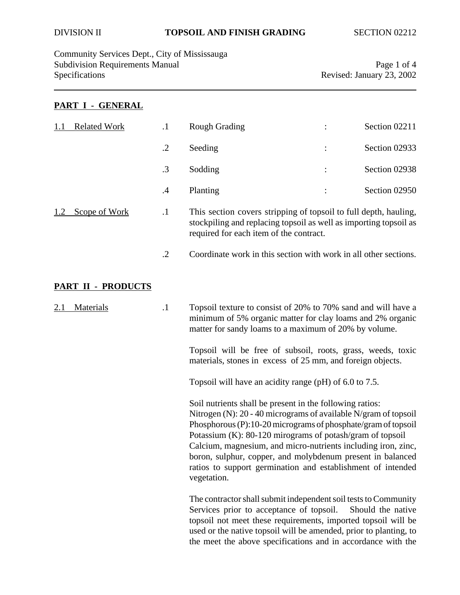Community Services Dept., City of Mississauga Subdivision Requirements Manual Page 1 of 4<br>Specifications Revised: January 23, 2002

Revised: January 23, 2002

### **PART I - GENERAL**

| <b>Related Work</b>       | $\cdot$ 1  | <b>Rough Grading</b>                                                                                                                                                                                                                                                                                                                                                                                                                                                     |  | Section 02211     |
|---------------------------|------------|--------------------------------------------------------------------------------------------------------------------------------------------------------------------------------------------------------------------------------------------------------------------------------------------------------------------------------------------------------------------------------------------------------------------------------------------------------------------------|--|-------------------|
|                           | $\cdot$ .2 | Seeding                                                                                                                                                                                                                                                                                                                                                                                                                                                                  |  | Section 02933     |
|                           | .3         | Sodding                                                                                                                                                                                                                                                                                                                                                                                                                                                                  |  | Section 02938     |
|                           | $\cdot$ 4  | Planting                                                                                                                                                                                                                                                                                                                                                                                                                                                                 |  | Section 02950     |
| Scope of Work<br>1.2      | $\cdot$    | This section covers stripping of topsoil to full depth, hauling,<br>stockpiling and replacing topsoil as well as importing topsoil as<br>required for each item of the contract.                                                                                                                                                                                                                                                                                         |  |                   |
|                           | $\cdot$ .2 | Coordinate work in this section with work in all other sections.                                                                                                                                                                                                                                                                                                                                                                                                         |  |                   |
| <b>PART II - PRODUCTS</b> |            |                                                                                                                                                                                                                                                                                                                                                                                                                                                                          |  |                   |
| <b>Materials</b>          | $\cdot$ 1  | Topsoil texture to consist of 20% to 70% sand and will have a<br>minimum of 5% organic matter for clay loams and 2% organic<br>matter for sandy loams to a maximum of 20% by volume.<br>Topsoil will be free of subsoil, roots, grass, weeds, toxic<br>materials, stones in excess of 25 mm, and foreign objects.                                                                                                                                                        |  |                   |
|                           |            |                                                                                                                                                                                                                                                                                                                                                                                                                                                                          |  |                   |
|                           |            | Topsoil will have an acidity range (pH) of 6.0 to 7.5.                                                                                                                                                                                                                                                                                                                                                                                                                   |  |                   |
|                           |            | Soil nutrients shall be present in the following ratios:<br>Nitrogen (N): $20 - 40$ micrograms of available N/gram of topsoil<br>Phosphorous (P):10-20 micrograms of phosphate/gram of topsoil<br>Potassium (K): 80-120 mirograms of potash/gram of topsoil<br>Calcium, magnesium, and micro-nutrients including iron, zinc,<br>boron, sulphur, copper, and molybdenum present in balanced<br>ratios to support germination and establishment of intended<br>vegetation. |  |                   |
|                           |            | The contractor shall submit independent soil tests to Community<br>Services prior to acceptance of topsoil.<br>topsoil not meet these requirements, imported topsoil will be<br>used or the native topsoil will be amended, prior to planting, to<br>the meet the above specifications and in accordance with the                                                                                                                                                        |  | Should the native |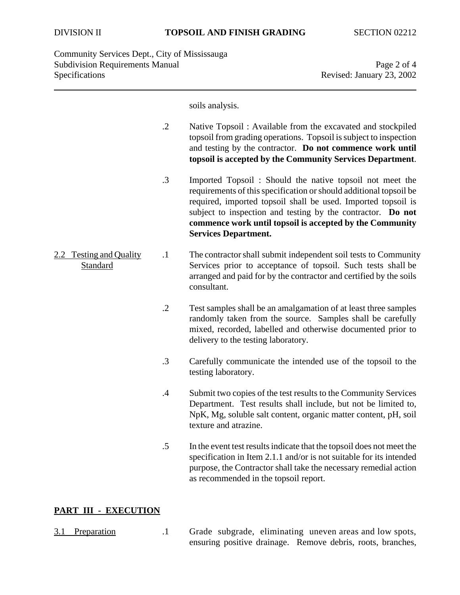soils analysis.

- .2 Native Topsoil : Available from the excavated and stockpiled topsoil from grading operations. Topsoil is subject to inspection and testing by the contractor. **Do not commence work until topsoil is accepted by the Community Services Department**.
- .3 Imported Topsoil : Should the native topsoil not meet the requirements of this specification or should additional topsoil be required, imported topsoil shall be used. Imported topsoil is subject to inspection and testing by the contractor. **Do not commence work until topsoil is accepted by the Community Services Department.**
- 2.2 Testing and Quality .1 The contractor shall submit independent soil tests to Community Standard Services prior to acceptance of topsoil. Such tests shall be arranged and paid for by the contractor and certified by the soils consultant.
	- .2 Test samples shall be an amalgamation of at least three samples randomly taken from the source. Samples shall be carefully mixed, recorded, labelled and otherwise documented prior to delivery to the testing laboratory.
	- .3 Carefully communicate the intended use of the topsoil to the testing laboratory.
	- .4 Submit two copies of the test results to the Community Services Department. Test results shall include, but not be limited to, NpK, Mg, soluble salt content, organic matter content, pH, soil texture and atrazine.
	- .5 In the event test results indicate that the topsoil does not meet the specification in Item 2.1.1 and/or is not suitable for its intended purpose, the Contractor shall take the necessary remedial action as recommended in the topsoil report.

# **PART III - EXECUTION**

- 
- 3.1 Preparation .1 Grade subgrade, eliminating uneven areas and low spots, ensuring positive drainage. Remove debris, roots, branches,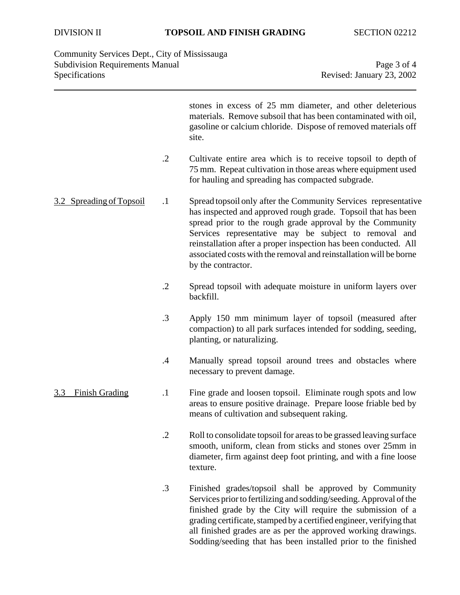| Community Services Dept., City of Mississauga |                           |
|-----------------------------------------------|---------------------------|
| <b>Subdivision Requirements Manual</b>        | Page 3 of 4               |
| <b>Specifications</b>                         | Revised: January 23, 2002 |

|                              |               | stones in excess of 25 mm diameter, and other deleterious<br>materials. Remove subsoil that has been contaminated with oil,<br>gasoline or calcium chloride. Dispose of removed materials off<br>site.                                                                                                                                                                                                                 |
|------------------------------|---------------|------------------------------------------------------------------------------------------------------------------------------------------------------------------------------------------------------------------------------------------------------------------------------------------------------------------------------------------------------------------------------------------------------------------------|
|                              | $\cdot$ .2    | Cultivate entire area which is to receive topsoil to depth of<br>75 mm. Repeat cultivation in those areas where equipment used<br>for hauling and spreading has compacted subgrade.                                                                                                                                                                                                                                    |
| 3.2 Spreading of Topsoil     | $\cdot$ 1     | Spread topsoil only after the Community Services representative<br>has inspected and approved rough grade. Topsoil that has been<br>spread prior to the rough grade approval by the Community<br>Services representative may be subject to removal and<br>reinstallation after a proper inspection has been conducted. All<br>associated costs with the removal and reinstallation will be borne<br>by the contractor. |
|                              | $\cdot$ .2    | Spread topsoil with adequate moisture in uniform layers over<br>backfill.                                                                                                                                                                                                                                                                                                                                              |
|                              | $\cdot$ 3     | Apply 150 mm minimum layer of topsoil (measured after<br>compaction) to all park surfaces intended for sodding, seeding,<br>planting, or naturalizing.                                                                                                                                                                                                                                                                 |
|                              | $\mathcal{A}$ | Manually spread topsoil around trees and obstacles where<br>necessary to prevent damage.                                                                                                                                                                                                                                                                                                                               |
| <b>Finish Grading</b><br>3.3 | $\cdot$       | Fine grade and loosen topsoil. Eliminate rough spots and low<br>areas to ensure positive drainage. Prepare loose friable bed by<br>means of cultivation and subsequent raking.                                                                                                                                                                                                                                         |
|                              | .2            | Roll to consolidate topsoil for areas to be grassed leaving surface<br>smooth, uniform, clean from sticks and stones over 25mm in<br>diameter, firm against deep foot printing, and with a fine loose<br>texture.                                                                                                                                                                                                      |
|                              | .3            | Finished grades/topsoil shall be approved by Community<br>Services prior to fertilizing and sodding/seeding. Approval of the<br>finished grade by the City will require the submission of a<br>grading certificate, stamped by a certified engineer, verifying that<br>all finished grades are as per the approved working drawings.<br>Sodding/seeding that has been installed prior to the finished                  |